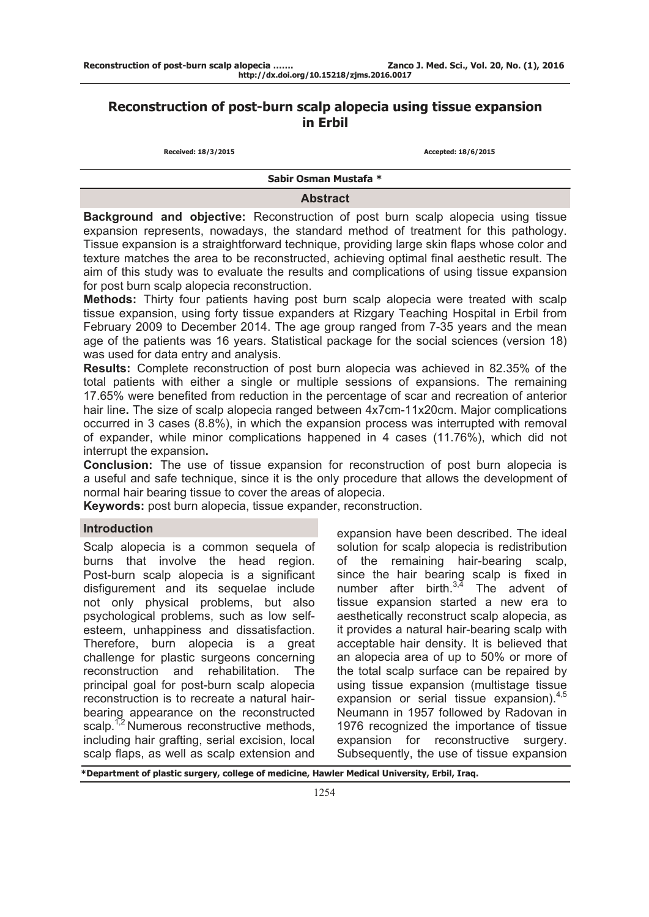# **Reconstruction of post-burn scalp alopecia using tissue expansion in Erbil**

| Received: 18/3/2015 |
|---------------------|
|---------------------|

 **Received: 18/3/2015 Accepted: 18/6/2015** 

**Sabir Osman Mustafa \***

## **Abstract**

**Background and objective:** Reconstruction of post burn scalp alopecia using tissue expansion represents, nowadays, the standard method of treatment for this pathology. Tissue expansion is a straightforward technique, providing large skin flaps whose color and texture matches the area to be reconstructed, achieving optimal final aesthetic result. The aim of this study was to evaluate the results and complications of using tissue expansion for post burn scalp alopecia reconstruction.

**Methods:** Thirty four patients having post burn scalp alopecia were treated with scalp tissue expansion, using forty tissue expanders at Rizgary Teaching Hospital in Erbil from February 2009 to December 2014. The age group ranged from 7-35 years and the mean age of the patients was 16 years. Statistical package for the social sciences (version 18) was used for data entry and analysis.

**Results:** Complete reconstruction of post burn alopecia was achieved in 82.35% of the total patients with either a single or multiple sessions of expansions. The remaining 17.65% were benefited from reduction in the percentage of scar and recreation of anterior hair line**.** The size of scalp alopecia ranged between 4x7cm-11x20cm. Major complications occurred in 3 cases (8.8%), in which the expansion process was interrupted with removal of expander, while minor complications happened in 4 cases (11.76%), which did not interrupt the expansion**.**

**Conclusion:** The use of tissue expansion for reconstruction of post burn alopecia is a useful and safe technique, since it is the only procedure that allows the development of normal hair bearing tissue to cover the areas of alopecia.

**Keywords:** post burn alopecia, tissue expander, reconstruction.

## **Introduction**

Scalp alopecia is a common sequela of burns that involve the head region. Post-burn scalp alopecia is a significant disfigurement and its sequelae include not only physical problems, but also psychological problems, such as low selfesteem, unhappiness and dissatisfaction. Therefore, burn alopecia is a great challenge for plastic surgeons concerning reconstruction and rehabilitation. The principal goal for post-burn scalp alopecia reconstruction is to recreate a natural hairbearing appearance on the reconstructed scalp.<sup>1,2</sup> Numerous reconstructive methods, including hair grafting, serial excision, local scalp flaps, as well as scalp extension and

expansion have been described. The ideal solution for scalp alopecia is redistribution of the remaining hair-bearing scalp, since the hair bearing scalp is fixed in number after birth. $3,4$  The advent of tissue expansion started a new era to aesthetically reconstruct scalp alopecia, as it provides a natural hair-bearing scalp with acceptable hair density. It is believed that an alopecia area of up to 50% or more of the total scalp surface can be repaired by using tissue expansion (multistage tissue expansion or serial tissue expansion).<sup>4,5</sup> Neumann in 1957 followed by Radovan in 1976 recognized the importance of tissue expansion for reconstructive surgery. Subsequently, the use of tissue expansion

**\*Department of plastic surgery, college of medicine, Hawler Medical University, Erbil, Iraq.**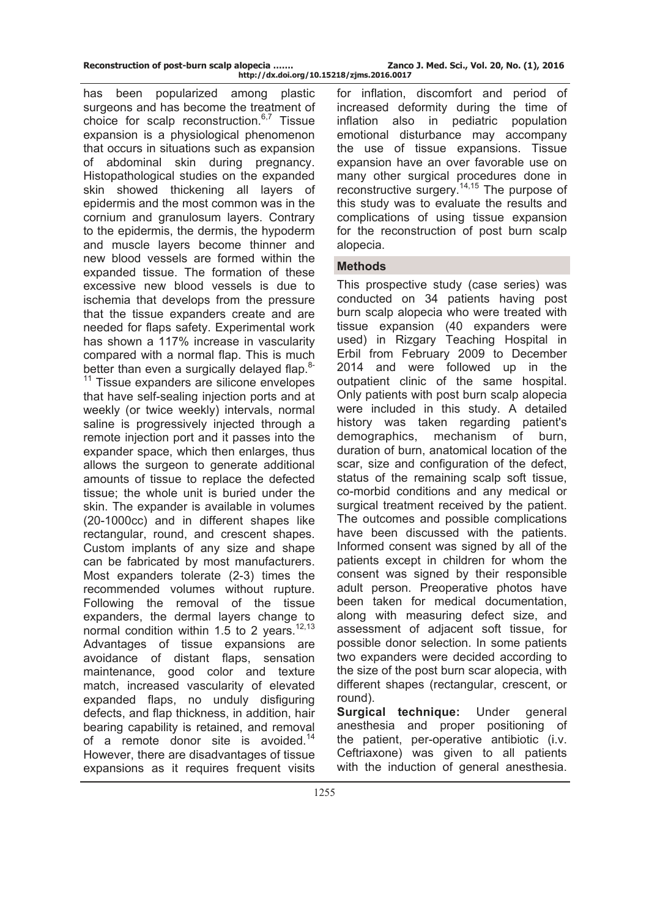has been popularized among plastic surgeons and has become the treatment of choice for scalp reconstruction.<sup>6,7</sup> Tissue expansion is a physiological phenomenon that occurs in situations such as expansion of abdominal skin during pregnancy. Histopathological studies on the expanded skin showed thickening all layers of epidermis and the most common was in the cornium and granulosum layers. Contrary to the epidermis, the dermis, the hypoderm and muscle layers become thinner and new blood vessels are formed within the expanded tissue. The formation of these excessive new blood vessels is due to ischemia that develops from the pressure that the tissue expanders create and are needed for flaps safety. Experimental work has shown a 117% increase in vascularity compared with a normal flap. This is much better than even a surgically delayed flap. $8-$ 

<sup>11</sup> Tissue expanders are silicone envelopes that have self-sealing injection ports and at weekly (or twice weekly) intervals, normal saline is progressively injected through a remote injection port and it passes into the expander space, which then enlarges, thus allows the surgeon to generate additional amounts of tissue to replace the defected tissue; the whole unit is buried under the skin. The expander is available in volumes (20-1000cc) and in different shapes like rectangular, round, and crescent shapes. Custom implants of any size and shape can be fabricated by most manufacturers. Most expanders tolerate (2-3) times the recommended volumes without rupture. Following the removal of the tissue expanders, the dermal layers change to normal condition within 1.5 to 2 years.<sup>12,13</sup> Advantages of tissue expansions are avoidance of distant flaps, sensation maintenance, good color and texture match, increased vascularity of elevated expanded flaps, no unduly disfiguring defects, and flap thickness, in addition, hair bearing capability is retained, and removal of a remote donor site is avoided.<sup>14</sup> However, there are disadvantages of tissue expansions as it requires frequent visits

for inflation, discomfort and period of increased deformity during the time of inflation also in pediatric population emotional disturbance may accompany the use of tissue expansions. Tissue expansion have an over favorable use on many other surgical procedures done in reconstructive surgery.14,15 The purpose of this study was to evaluate the results and complications of using tissue expansion for the reconstruction of post burn scalp alopecia.

## **Methods**

This prospective study (case series) was conducted on 34 patients having post burn scalp alopecia who were treated with tissue expansion (40 expanders were used) in Rizgary Teaching Hospital in Erbil from February 2009 to December 2014 and were followed up in the outpatient clinic of the same hospital. Only patients with post burn scalp alopecia were included in this study. A detailed history was taken regarding patient's demographics, mechanism of burn, duration of burn, anatomical location of the scar, size and configuration of the defect, status of the remaining scalp soft tissue, co-morbid conditions and any medical or surgical treatment received by the patient. The outcomes and possible complications have been discussed with the patients. Informed consent was signed by all of the patients except in children for whom the consent was signed by their responsible adult person. Preoperative photos have been taken for medical documentation, along with measuring defect size, and assessment of adjacent soft tissue, for possible donor selection. In some patients two expanders were decided according to the size of the post burn scar alopecia, with different shapes (rectangular, crescent, or round).

**Surgical technique:** Under general anesthesia and proper positioning of the patient, per-operative antibiotic (i.v. Ceftriaxone) was given to all patients with the induction of general anesthesia.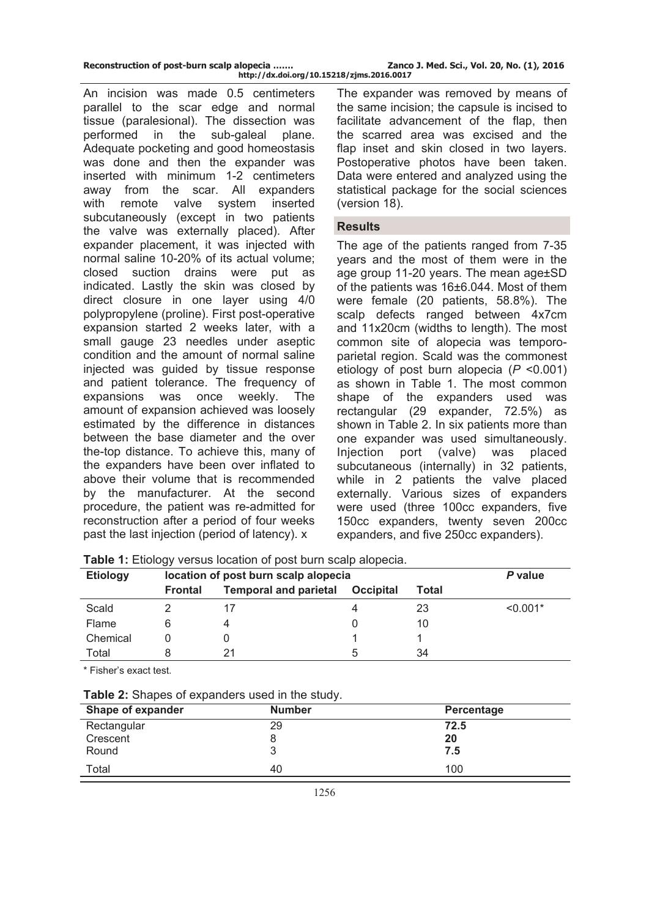| Reconstruction of post-burn scalp alopecia | Zanco J. Med. Sci., Vol. 20, No. (1), 2016 |
|--------------------------------------------|--------------------------------------------|
| http://dx.doi.org/10.15218/zjms.2016.0017  |                                            |

An incision was made 0.5 centimeters parallel to the scar edge and normal tissue (paralesional). The dissection was performed in the sub-galeal plane. Adequate pocketing and good homeostasis was done and then the expander was inserted with minimum 1-2 centimeters away from the scar. All expanders with remote valve system inserted subcutaneously (except in two patients the valve was externally placed). After expander placement, it was injected with normal saline 10-20% of its actual volume; closed suction drains were put as indicated. Lastly the skin was closed by direct closure in one layer using 4/0 polypropylene (proline). First post-operative expansion started 2 weeks later, with a small gauge 23 needles under aseptic condition and the amount of normal saline injected was guided by tissue response and patient tolerance. The frequency of expansions was once weekly. The amount of expansion achieved was loosely estimated by the difference in distances between the base diameter and the over the-top distance. To achieve this, many of the expanders have been over inflated to above their volume that is recommended by the manufacturer. At the second procedure, the patient was re-admitted for reconstruction after a period of four weeks past the last injection (period of latency). x

The expander was removed by means of the same incision; the capsule is incised to facilitate advancement of the flap, then the scarred area was excised and the flap inset and skin closed in two layers. Postoperative photos have been taken. Data were entered and analyzed using the statistical package for the social sciences (version 18).

### **Results**

The age of the patients ranged from 7-35 years and the most of them were in the age group 11-20 years. The mean age±SD of the patients was 16±6.044. Most of them were female (20 patients, 58.8%). The scalp defects ranged between 4x7cm and 11x20cm (widths to length). The most common site of alopecia was temporoparietal region. Scald was the commonest etiology of post burn alopecia (*P* <0.001) as shown in Table 1. The most common shape of the expanders used was rectangular (29 expander, 72.5%) as shown in Table 2. In six patients more than one expander was used simultaneously. Injection port (valve) was placed subcutaneous (internally) in 32 patients, while in 2 patients the valve placed externally. Various sizes of expanders were used (three 100cc expanders, five 150cc expanders, twenty seven 200cc expanders, and five 250cc expanders).

| <b>Etiology</b> | ັ<br>location of post burn scalp alopecia |                              |                  | P value |            |
|-----------------|-------------------------------------------|------------------------------|------------------|---------|------------|
|                 | <b>Frontal</b>                            | <b>Temporal and parietal</b> | <b>Occipital</b> | Total   |            |
| Scald           |                                           |                              |                  | 23      | $< 0.001*$ |
| Flame           |                                           |                              |                  | 10      |            |
| Chemical        |                                           |                              |                  |         |            |
| Total           |                                           |                              | 5                | 34      |            |

**Table 1:** Etiology versus location of post burn scalp alopecia.

\* Fisher's exact test.

| Table 2: Shapes of expanders used in the study. |  |  |
|-------------------------------------------------|--|--|
|-------------------------------------------------|--|--|

| Shape of expander | <b>Number</b> | Percentage |
|-------------------|---------------|------------|
| Rectangular       | 29            | 72.5       |
| Crescent          |               | 20         |
| Round             |               | 7.5        |
| Total             | 40            | 100        |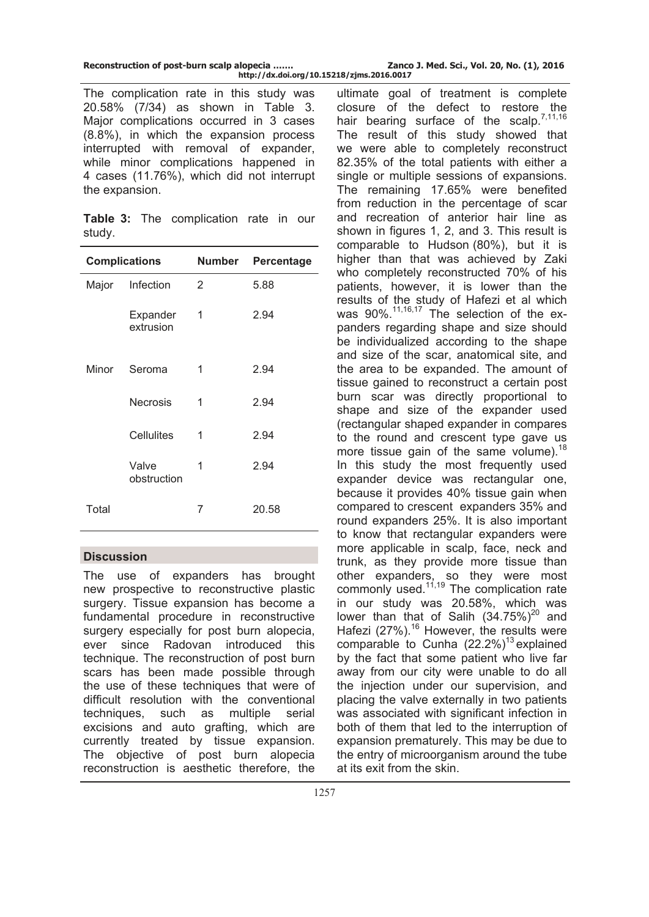| Reconstruction of post-burn scalp alopecia |                                           | Zanco |
|--------------------------------------------|-------------------------------------------|-------|
|                                            | http://dx.doi.org/10.15218/zjms.2016.0017 |       |

The complication rate in this study was 20.58% (7/34) as shown in Table 3. Major complications occurred in 3 cases (8.8%), in which the expansion process interrupted with removal of expander, while minor complications happened in 4 cases (11.76%), which did not interrupt the expansion.

|        | Table 3: The complication rate in our |  |  |
|--------|---------------------------------------|--|--|
| study. |                                       |  |  |

| <b>Complications</b> |                       | Number | Percentage |
|----------------------|-----------------------|--------|------------|
| Major                | Infection             | 2      | 5.88       |
|                      | Expander<br>extrusion | 1      | 2.94       |
| Minor                | Seroma                | 1      | 2.94       |
|                      | <b>Necrosis</b>       | 1      | 2.94       |
|                      | Cellulites            | 1      | 2.94       |
|                      | Valve<br>obstruction  | 1      | 2.94       |
| Total                |                       | 7      | 20.58      |

# **Discussion**

The use of expanders has brought new prospective to reconstructive plastic surgery. Tissue expansion has become a fundamental procedure in reconstructive surgery especially for post burn alopecia, ever since Radovan introduced this technique. The reconstruction of post burn scars has been made possible through the use of these techniques that were of difficult resolution with the conventional techniques, such as multiple serial excisions and auto grafting, which are currently treated by tissue expansion. The objective of post burn alopecia reconstruction is aesthetic therefore, the

ultimate goal of treatment is complete closure of the defect to restore the hair bearing surface of the scalp.<sup>7,11,16</sup> The result of this study showed that we were able to completely reconstruct 82.35% of the total patients with either a single or multiple sessions of expansions. The remaining 17.65% were benefited from reduction in the percentage of scar and recreation of anterior hair line as shown in figures 1, 2, and 3. This result is comparable to Hudson (80%), but it is higher than that was achieved by Zaki who completely reconstructed 70% of his patients, however, it is lower than the results of the study of Hafezi et al which was  $90\%$ <sup>11,16,17</sup> The selection of the expanders regarding shape and size should be individualized according to the shape and size of the scar, anatomical site, and the area to be expanded. The amount of tissue gained to reconstruct a certain post burn scar was directly proportional to shape and size of the expander used (rectangular shaped expander in compares to the round and crescent type gave us more tissue gain of the same volume). $18$ In this study the most frequently used expander device was rectangular one, because it provides 40% tissue gain when compared to crescent expanders 35% and round expanders 25%. It is also important to know that rectangular expanders were more applicable in scalp, face, neck and trunk, as they provide more tissue than other expanders, so they were most commonly used. $11,19$  The complication rate in our study was 20.58%, which was lower than that of Salih  $(34.75\%)^{20}$  and Hafezi (27%).<sup>16</sup> However, the results were comparable to Cunha  $(22.2\%)$ <sup>13</sup> explained by the fact that some patient who live far away from our city were unable to do all the injection under our supervision, and placing the valve externally in two patients was associated with significant infection in both of them that led to the interruption of expansion prematurely. This may be due to the entry of microorganism around the tube at its exit from the skin.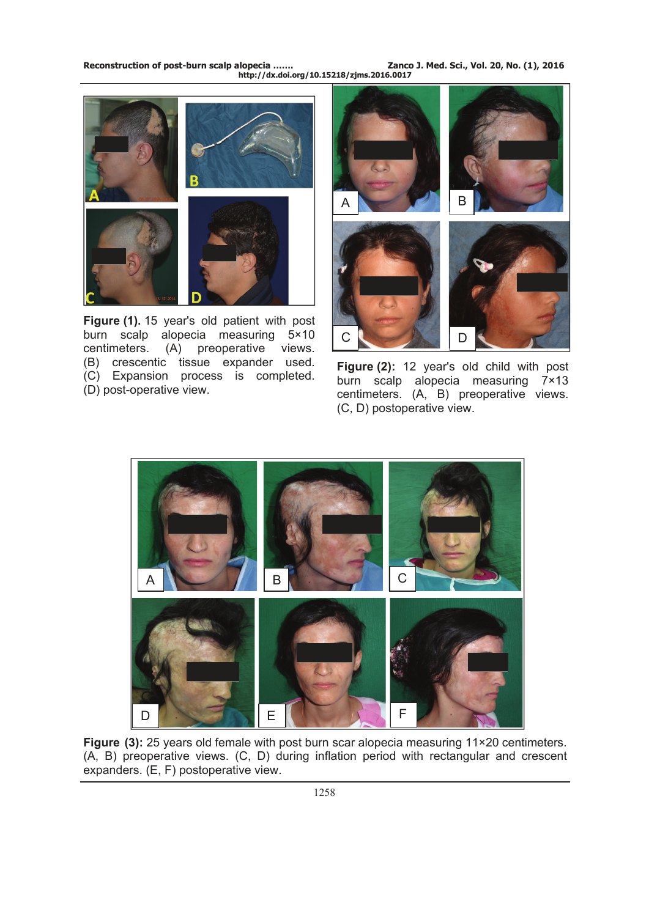**Reconstruction of post-burn scalp alopecia ……. Zanco J. Med. Sci., Vol. 20, No. (1), 2016 http://dx.doi.org/10.15218/zjms.2016.0017**



**Figure (1).** 15 year's old patient with post burn scalp alopecia measuring 5×10 centimeters. (A) preoperative views. (B) crescentic tissue expander used. (C) Expansion process is completed. (D) post-operative view.



**Figure (2):** 12 year's old child with post burn scalp alopecia measuring 7×13 centimeters. (A, B) preoperative views. (C, D) postoperative view.



**Figure (3):** 25 years old female with post burn scar alopecia measuring 11×20 centimeters. (A, B) preoperative views. (C, D) during inflation period with rectangular and crescent expanders. (E, F) postoperative view.